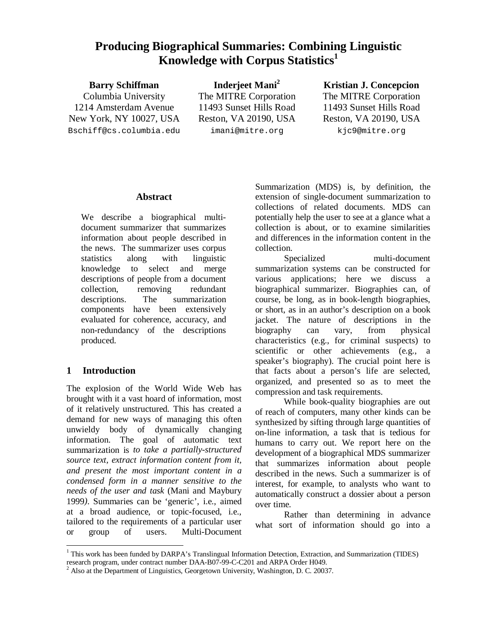# **Producing Biographical Summaries: Combining Linguistic Knowledge with Corpus Statistics 1**

**Barry Schiffman** Columbia University 1214 Amsterdam Avenue New York, NY 10027, USA Bschiff@cs.columbia.edu

**Inderjeet Mani 2** The MITRE Corporation 11493 Sunset Hills Road Reston, VA 20190, USA imani@mitre.org

**Kristian J. Concepcion** The MITRE Corporation 11493 Sunset Hills Road Reston, VA 20190, USA kjc9@mitre.org

## **Abstract**

We describe a biographical multidocument summarizer that summarizes information about people described in the news. The summarizer uses corpus statistics along with linguistic knowledge to select and merge descriptions of people from a document collection, removing redundant descriptions. The summarization components have been extensively evaluated for coherence, accuracy, and non-redundancy of the descriptions produced.

## **1 Introduction**

The explosion of the World Wide Web has brought with it a vast hoard of information, most of it relatively unstructured. This has created a demand for new ways of managing this often unwieldy body of dynamically changing information. The goal of automatic text summarization is *to take a partially-structured source text, extract information content from it, and present the most important content in a condensed form in a manner sensitive to the needs of the user and task* (Mani and Maybury 1999*)*. Summaries can be 'generic', i.e., aimed at a broad audience, or topic-focused, i.e., tailored to the requirements of a particular user or group of users. Multi-Document Summarization (MDS) is, by definition, the extension of single-document summarization to collections of related documents. MDS can potentially help the user to see at a glance what a collection is about, or to examine similarities and differences in the information content in the collection.

Specialized multi-document summarization systems can be constructed for various applications; here we discuss a biographical summarizer. Biographies can, of course, be long, as in book-length biographies, or short, as in an author's description on a book jacket. The nature of descriptions in the biography can vary, from physical characteristics (e.g., for criminal suspects) to scientific or other achievements (e.g., a speaker's biography). The crucial point here is that facts about a person's life are selected, organized, and presented so as to meet the compression and task requirements.

While book-quality biographies are out of reach of computers, many other kinds can be synthesized by sifting through large quantities of on-line information, a task that is tedious for humans to carry out. We report here on the development of a biographical MDS summarizer that summarizes information about people described in the news. Such a summarizer is of interest, for example, to analysts who want to automatically construct a dossier about a person over time.

Rather than determining in advance what sort of information should go into a

<sup>1</sup> <sup>1</sup> This work has been funded by DARPA's Translingual Information Detection, Extraction, and Summarization (TIDES) research program, under contract number DAA-B07-99-C-C201 and ARPA Order H049.

<sup>&</sup>lt;sup>2</sup> Also at the Department of Linguistics, Georgetown University, Washington, D. C. 20037.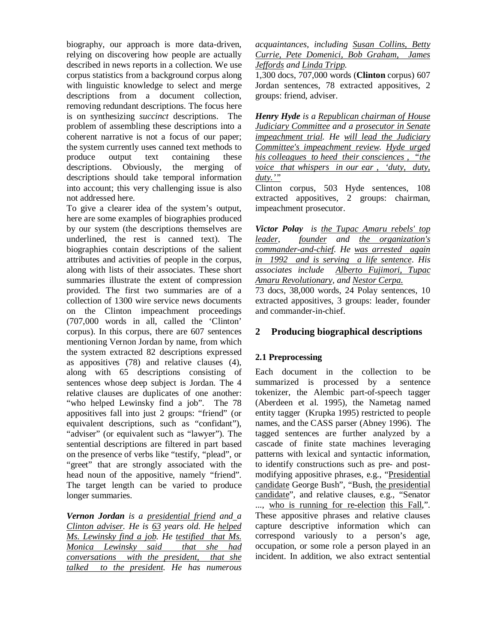biography, our approach is more data-driven, relying on discovering how people are actually described in news reports in a collection. We use corpus statistics from a background corpus along with linguistic knowledge to select and merge descriptions from a document collection, removing redundant descriptions. The focus here is on synthesizing *succinct* descriptions. The problem of assembling these descriptions into a coherent narrative is not a focus of our paper; the system currently uses canned text methods to produce output text containing these descriptions. Obviously, the merging of descriptions should take temporal information into account; this very challenging issue is also not addressed here.

To give a clearer idea of the system's output, here are some examples of biographies produced by our system (the descriptions themselves are underlined, the rest is canned text). The biographies contain descriptions of the salient attributes and activities of people in the corpus, along with lists of their associates. These short summaries illustrate the extent of compression provided. The first two summaries are of a collection of 1300 wire service news documents on the Clinton impeachment proceedings (707,000 words in all, called the 'Clinton' corpus). In this corpus, there are 607 sentences mentioning Vernon Jordan by name, from which the system extracted 82 descriptions expressed as appositives (78) and relative clauses (4), along with 65 descriptions consisting of sentences whose deep subject is Jordan. The 4 relative clauses are duplicates of one another: "who helped Lewinsky find a job". The 78 appositives fall into just 2 groups: "friend" (or equivalent descriptions, such as "confidant"), "adviser" (or equivalent such as "lawyer"). The sentential descriptions are filtered in part based on the presence of verbs like "testify, "plead", or "greet" that are strongly associated with the head noun of the appositive, namely "friend". The target length can be varied to produce longer summaries.

*Vernon Jordan is a presidential friend and a Clinton adviser. He is 63 years old. He helped Ms. Lewinsky find a job. He testified that Ms. Monica Lewinsky said that she had conversations with the president, that she talked to the president. He has numerous* *acquaintances, including Susan Collins, Betty Currie, Pete Domenici, Bob Graham, James Jeffords and Linda Tripp.*

1,300 docs, 707,000 words (**Clinton** corpus) 607 Jordan sentences, 78 extracted appositives, 2 groups: friend, adviser.

*Henry Hyde is a Republican chairman of House Judiciary Committee and a prosecutor in Senate impeachment trial. He will lead the Judiciary Committee's impeachment review. Hyde urged his colleagues to heed their consciences , "the voice that whispers in our ear , 'duty, duty, duty.'"*

Clinton corpus, 503 Hyde sentences, 108 extracted appositives, 2 groups: chairman, impeachment prosecutor.

*Victor Polay is the Tupac Amaru rebels' top leader, founder and the organization's commander-and-chief. He was arrested again in 1992 and is serving a life sentence*. *His associates include Alberto Fujimori, Tupac Amaru Revolutionary, and Nestor Cerpa.*

73 docs, 38,000 words, 24 Polay sentences, 10 extracted appositives, 3 groups: leader, founder and commander-in-chief.

## **2 Producing biographical descriptions**

## **2.1 Preprocessing**

Each document in the collection to be summarized is processed by a sentence tokenizer, the Alembic part-of-speech tagger (Aberdeen et al. 1995), the Nametag named entity tagger (Krupka 1995) restricted to people names, and the CASS parser (Abney 1996). The tagged sentences are further analyzed by a cascade of finite state machines leveraging patterns with lexical and syntactic information, to identify constructions such as pre- and postmodifying appositive phrases, e.g., "Presidential candidate George Bush", "Bush, the presidential candidate", and relative clauses, e.g., "Senator ..., who is running for re-election this Fall,". These appositive phrases and relative clauses capture descriptive information which can correspond variously to a person's age, occupation, or some role a person played in an incident. In addition, we also extract sentential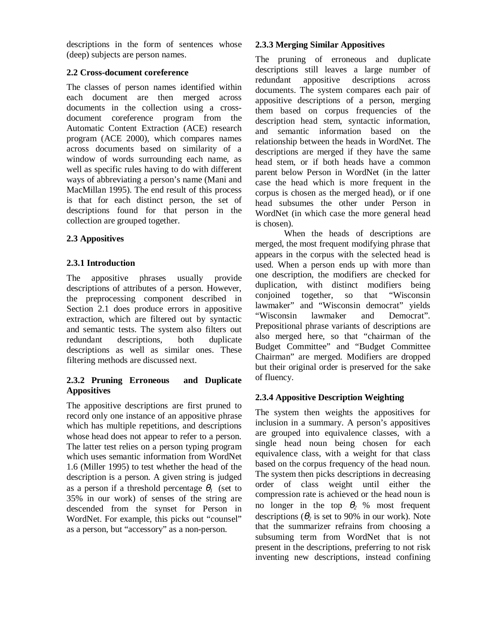descriptions in the form of sentences whose (deep) subjects are person names.

#### **2.2 Cross-document coreference**

The classes of person names identified within each document are then merged across documents in the collection using a crossdocument coreference program from the Automatic Content Extraction (ACE) research program (ACE 2000), which compares names across documents based on similarity of a window of words surrounding each name, as well as specific rules having to do with different ways of abbreviating a person's name (Mani and MacMillan 1995). The end result of this process is that for each distinct person, the set of descriptions found for that person in the collection are grouped together.

## **2.3 Appositives**

## **2.3.1 Introduction**

The appositive phrases usually provide descriptions of attributes of a person. However, the preprocessing component described in Section 2.1 does produce errors in appositive extraction, which are filtered out by syntactic and semantic tests. The system also filters out redundant descriptions, both duplicate descriptions as well as similar ones. These filtering methods are discussed next.

#### **2.3.2 Pruning Erroneous and Duplicate Appositives**

The appositive descriptions are first pruned to record only one instance of an appositive phrase which has multiple repetitions, and descriptions whose head does not appear to refer to a person. The latter test relies on a person typing program which uses semantic information from WordNet 1.6 (Miller 1995) to test whether the head of the description is a person. A given string is judged as a person if a threshold percentage  $\theta$ <sup>*l*</sup> (set to 35% in our work) of senses of the string are descended from the synset for Person in WordNet. For example, this picks out "counsel" as a person, but "accessory" as a non-person.

## **2.3.3 Merging Similar Appositives**

The pruning of erroneous and duplicate descriptions still leaves a large number of redundant appositive descriptions across documents. The system compares each pair of appositive descriptions of a person, merging them based on corpus frequencies of the description head stem, syntactic information, and semantic information based on the relationship between the heads in WordNet. The descriptions are merged if they have the same head stem, or if both heads have a common parent below Person in WordNet (in the latter case the head which is more frequent in the corpus is chosen as the merged head), or if one head subsumes the other under Person in WordNet (in which case the more general head is chosen).

When the heads of descriptions are merged, the most frequent modifying phrase that appears in the corpus with the selected head is used. When a person ends up with more than one description, the modifiers are checked for duplication, with distinct modifiers being conjoined together, so that "Wisconsin lawmaker" and "Wisconsin democrat" yields "Wisconsin lawmaker and Democrat". Prepositional phrase variants of descriptions are also merged here, so that "chairman of the Budget Committee" and "Budget Committee Chairman" are merged. Modifiers are dropped but their original order is preserved for the sake of fluency.

# **2.3.4 Appositive Description Weighting**

The system then weights the appositives for inclusion in a summary. A person's appositives are grouped into equivalence classes, with a single head noun being chosen for each equivalence class, with a weight for that class based on the corpus frequency of the head noun. The system then picks descriptions in decreasing order of class weight until either the compression rate is achieved or the head noun is no longer in the top  $\theta_2$  % most frequent descriptions ( $\theta_2$  is set to 90% in our work). Note that the summarizer refrains from choosing a subsuming term from WordNet that is not present in the descriptions, preferring to not risk inventing new descriptions, instead confining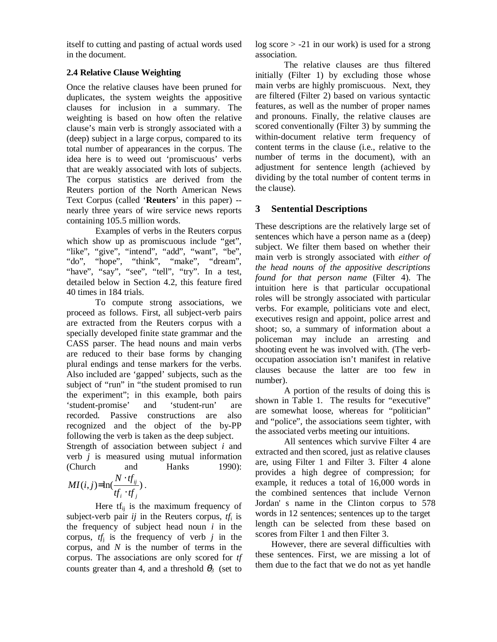itself to cutting and pasting of actual words used in the document.

#### **2.4 Relative Clause Weighting**

Once the relative clauses have been pruned for duplicates, the system weights the appositive clauses for inclusion in a summary. The weighting is based on how often the relative clause's main verb is strongly associated with a (deep) subject in a large corpus, compared to its total number of appearances in the corpus. The idea here is to weed out 'promiscuous' verbs that are weakly associated with lots of subjects. The corpus statistics are derived from the Reuters portion of the North American News Text Corpus (called '**Reuters**' in this paper) - nearly three years of wire service news reports containing 105.5 million words.

Examples of verbs in the Reuters corpus which show up as promiscuous include "get", "like", "give", "intend", "add", "want", "be", "do", "hope", "think", "make", "dream", "have", "say", "see", "tell", "try". In a test, detailed below in Section 4.2, this feature fired 40 times in 184 trials.

To compute strong associations, we proceed as follows. First, all subject-verb pairs are extracted from the Reuters corpus with a specially developed finite state grammar and the CASS parser. The head nouns and main verbs are reduced to their base forms by changing plural endings and tense markers for the verbs. Also included are 'gapped' subjects, such as the subject of "run" in "the student promised to run the experiment"; in this example, both pairs 'student-promise' and 'student-run' are recorded. Passive constructions are also recognized and the object of the by-PP following the verb is taken as the deep subject.

Strength of association between subject *i* and verb *j* is measured using mutual information (Church and Hanks 1990):

$$
MI(i,j)=\ln(\frac{N\cdot tf_{ij}}{tf_i\cdot tf_j}).
$$

Here  $tf_{ii}$  is the maximum frequency of subject-verb pair  $ij$  in the Reuters corpus,  $tf_i$  is the frequency of subject head noun *i* in the corpus,  $tf_j$  is the frequency of verb  $j$  in the corpus, and *N* is the number of terms in the corpus. The associations are only scored for *tf* counts greater than 4, and a threshold  $\theta_3$  (set to log score > -21 in our work) is used for a strong association.

The relative clauses are thus filtered initially (Filter 1) by excluding those whose main verbs are highly promiscuous. Next, they are filtered (Filter 2) based on various syntactic features, as well as the number of proper names and pronouns. Finally, the relative clauses are scored conventionally (Filter 3) by summing the within-document relative term frequency of content terms in the clause (i.e., relative to the number of terms in the document), with an adjustment for sentence length (achieved by dividing by the total number of content terms in the clause).

# **3 Sentential Descriptions**

These descriptions are the relatively large set of sentences which have a person name as a (deep) subject. We filter them based on whether their main verb is strongly associated with *either of the head nouns of the appositive descriptions found for that person name* (Filter 4). The intuition here is that particular occupational roles will be strongly associated with particular verbs. For example, politicians vote and elect, executives resign and appoint, police arrest and shoot; so, a summary of information about a policeman may include an arresting and shooting event he was involved with. (The verboccupation association isn't manifest in relative clauses because the latter are too few in number).

A portion of the results of doing this is shown in Table 1. The results for "executive" are somewhat loose, whereas for "politician" and "police", the associations seem tighter, with the associated verbs meeting our intuitions.

All sentences which survive Filter 4 are extracted and then scored, just as relative clauses are, using Filter 1 and Filter 3. Filter 4 alone provides a high degree of compression; for example, it reduces a total of 16,000 words in the combined sentences that include Vernon Jordan' s name in the Clinton corpus to 578 words in 12 sentences; sentences up to the target length can be selected from these based on scores from Filter 1 and then Filter 3.

However, there are several difficulties with these sentences. First, we are missing a lot of them due to the fact that we do not as yet handle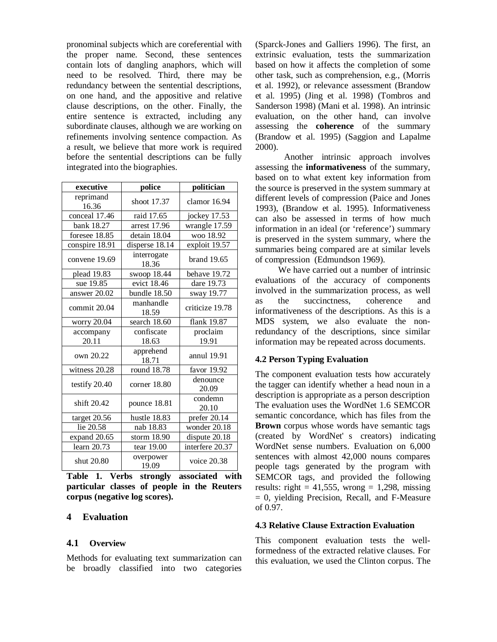pronominal subjects which are coreferential with the proper name. Second, these sentences contain lots of dangling anaphors, which will need to be resolved. Third, there may be redundancy between the sentential descriptions, on one hand, and the appositive and relative clause descriptions, on the other. Finally, the entire sentence is extracted, including any subordinate clauses, although we are working on refinements involving sentence compaction. As a result, we believe that more work is required before the sentential descriptions can be fully integrated into the biographies.

| executive                       | police               | politician        |  |
|---------------------------------|----------------------|-------------------|--|
| reprimand<br>16.36              | shoot 17.37          | clamor 16.94      |  |
| conceal 17.46                   | raid 17.65           | jockey 17.53      |  |
| bank 18.27                      | arrest 17.96         | wrangle 17.59     |  |
| foresee 18.85                   | detain 18.04         | woo 18.92         |  |
| conspire 18.91                  | disperse 18.14       | exploit 19.57     |  |
| convene 19.69                   | interrogate<br>18.36 | brand 19.65       |  |
| plead 19.83                     | swoop 18.44          | behave 19.72      |  |
| sue 19.85                       | evict 18.46          | dare 19.73        |  |
| answer 20.02                    | bundle 18.50         | sway 19.77        |  |
| commit 20.04                    | manhandle<br>18.59   | criticize 19.78   |  |
| worry 20.04                     | search 18.60         | flank 19.87       |  |
| accompany                       | confiscate           | proclaim          |  |
| 20.11                           | 18.63                | 19.91             |  |
| own 20.22                       | apprehend<br>18.71   | annul 19.91       |  |
| witness 20.28                   | round 18.78          | favor 19.92       |  |
| testify 20.40                   | corner 18.80         | denounce<br>20.09 |  |
| shift 20.42                     | pounce 18.81         | condemn<br>20.10  |  |
| target 20.56                    | hustle 18.83         | prefer 20.14      |  |
| lie $20.58$                     | nab 18.83            | wonder 20.18      |  |
| expand 20.65                    | storm 18.90          | dispute 20.18     |  |
| $\overline{\text{learn}}$ 20.73 | tear 19.00           | interfere 20.37   |  |
| shut 20.80                      | overpower<br>19.09   | voice 20.38       |  |

**Table 1. Verbs strongly associated with particular classes of people in the Reuters corpus (negative log scores).**

#### **4 Evaluation**

#### **4.1 Overview**

Methods for evaluating text summarization can be broadly classified into two categories (Sparck-Jones and Galliers 1996). The first, an extrinsic evaluation, tests the summarization based on how it affects the completion of some other task, such as comprehension, e.g., (Morris et al. 1992), or relevance assessment (Brandow et al. 1995) (Jing et al. 1998) (Tombros and Sanderson 1998) (Mani et al. 1998). An intrinsic evaluation, on the other hand, can involve assessing the **coherence** of the summary (Brandow et al. 1995) (Saggion and Lapalme 2000).

Another intrinsic approach involves assessing the **informativeness** of the summary, based on to what extent key information from the source is preserved in the system summary at different levels of compression (Paice and Jones 1993), (Brandow et al. 1995). Informativeness can also be assessed in terms of how much information in an ideal (or 'reference') summary is preserved in the system summary, where the summaries being compared are at similar levels of compression (Edmundson 1969).

We have carried out a number of intrinsic evaluations of the accuracy of components involved in the summarization process, as well as the succinctness, coherence and informativeness of the descriptions. As this is a MDS system, we also evaluate the nonredundancy of the descriptions, since similar information may be repeated across documents.

#### **4.2 Person Typing Evaluation**

The component evaluation tests how accurately the tagger can identify whether a head noun in a description is appropriate as a person description The evaluation uses the WordNet 1.6 SEMCOR semantic concordance, which has files from the **Brown** corpus whose words have semantic tags (created by WordNet' s creators) indicating WordNet sense numbers. Evaluation on 6,000 sentences with almost 42,000 nouns compares people tags generated by the program with SEMCOR tags, and provided the following results: right =  $41,555$ , wrong = 1,298, missing  $= 0$ , yielding Precision, Recall, and F-Measure of 0.97.

#### **4.3 Relative Clause Extraction Evaluation**

This component evaluation tests the wellformedness of the extracted relative clauses. For this evaluation, we used the Clinton corpus. The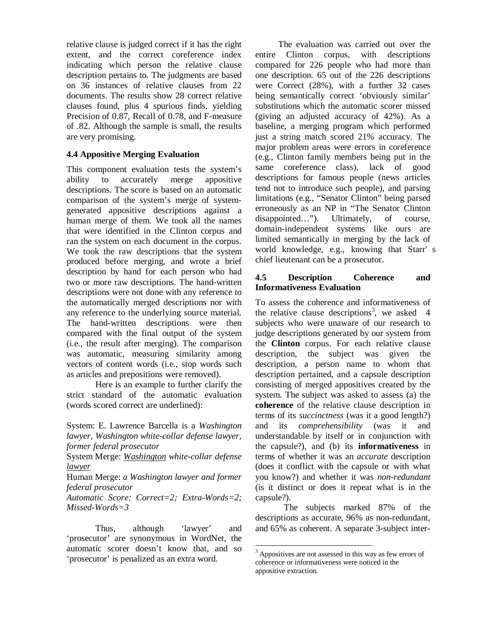relative clause is judged correct if it has the right extent, and the correct coreference index indicating which person the relative clause description pertains to. The judgments are based on 36 instances of relative clauses from 22 documents. The results show 28 correct relative clauses found, plus 4 spurious finds, yielding Precision of 0.87, Recall of 0.78, and F-measure of .82. Although the sample is small, the results are very promising.

#### **4.4 Appositive Merging Evaluation**

This component evaluation tests the system's ability to accurately merge appositive descriptions. The score is based on an automatic comparison of the system's merge of systemgenerated appositive descriptions against a human merge of them. We took all the names that were identified in the Clinton corpus and ran the system on each document in the corpus. We took the raw descriptions that the system produced before merging, and wrote a brief description by hand for each person who had two or more raw descriptions. The hand-written descriptions were not done with any reference to the automatically merged descriptions nor with any reference to the underlying source material. The hand-written descriptions were then compared with the final output of the system (i.e., the result after merging). The comparison was automatic, measuring similarity among vectors of content words (i.e., stop words such as articles and prepositions were removed).

Here is an example to further clarify the strict standard of the automatic evaluation (words scored correct are underlined):

System: E. Lawrence Barcella is a *Washington lawyer, Washington white-collar defense lawyer, former federal prosecutor*

System Merge: *Washington white-collar defense lawyer*

Human Merge: *a Washington lawyer and former federal prosecutor*

*Automatic Score: Correct=2; Extra-Words=2; Missed-Words=3*

Thus, although 'lawyer' and 'prosecutor' are synonymous in WordNet, the automatic scorer doesn't know that, and so 'prosecutor' is penalized as an extra word.

The evaluation was carried out over the entire Clinton corpus, with descriptions compared for 226 people who had more than one description. 65 out of the 226 descriptions were Correct (28%), with a further 32 cases being semantically correct 'obviously similar' substitutions which the automatic scorer missed (giving an adjusted accuracy of 42%). As a baseline, a merging program which performed just a string match scored 21% accuracy. The major problem areas were errors in coreference (e.g., Clinton family members being put in the same coreference class), lack of good descriptions for famous people (news articles tend not to introduce such people), and parsing limitations (e.g., "Senator Clinton" being parsed erroneously as an NP in "The Senator Clinton disappointed…"). Ultimately, of course, domain-independent systems like ours are limited semantically in merging by the lack of world knowledge, e.g., knowing that Starr' s chief lieutenant can be a prosecutor.

#### **4.5 Description Coherence and Informativeness Evaluation**

To assess the coherence and informativeness of the relative clause descriptions<sup>3</sup>, we asked 4 subjects who were unaware of our research to judge descriptions generated by our system from the **Clinton** corpus. For each relative clause description, the subject was given the description, a person name to whom that description pertained, and a capsule description consisting of merged appositives created by the system. The subject was asked to assess (a) the **coherence** of the relative clause description in terms of its *succinctness* (was it a good length?) and its *comprehensibility* (was it and understandable by itself or in conjunction with the capsule?), and (b) its **informativeness** in terms of whether it was an *accurate* description (does it conflict with the capsule or with what you know?) and whether it was *non-redundant* (is it distinct or does it repeat what is in the capsule?).

The subjects marked 87% of the descriptions as accurate, 96% as non-redundant, and 65% as coherent. A separate 3-subject inter-

-

<sup>&</sup>lt;sup>3</sup> Appositives are not assessed in this way as few errors of coherence or informativeness were noticed in the appositive extraction.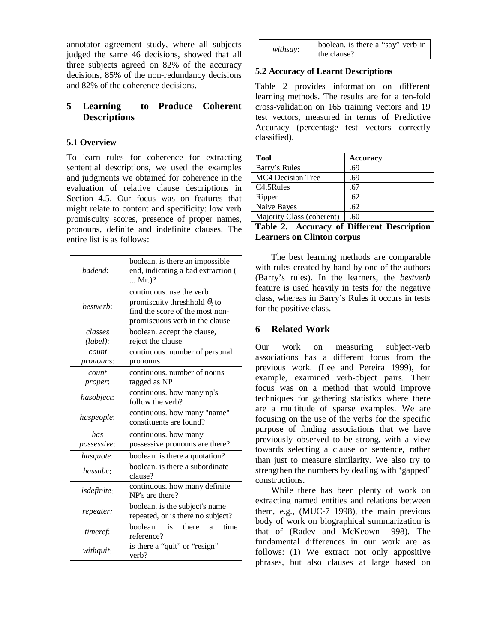annotator agreement study, where all subjects judged the same 46 decisions, showed that all three subjects agreed on 82% of the accuracy decisions, 85% of the non-redundancy decisions and 82% of the coherence decisions.

#### **5 Learning to Produce Coherent Descriptions**

#### **5.1 Overview**

To learn rules for coherence for extracting sentential descriptions, we used the examples and judgments we obtained for coherence in the evaluation of relative clause descriptions in Section 4.5. Our focus was on features that might relate to content and specificity: low verb promiscuity scores, presence of proper names, pronouns, definite and indefinite clauses. The entire list is as follows:

| badend:                | boolean. is there an impossible<br>end, indicating a bad extraction (<br>$Mr.$ )?                                                     |  |  |
|------------------------|---------------------------------------------------------------------------------------------------------------------------------------|--|--|
| bestverb:              | continuous, use the verb<br>promiscuity threshhold $\theta_3$ to<br>find the score of the most non-<br>promiscuous verb in the clause |  |  |
| classes<br>$(label)$ : | boolean. accept the clause,<br>reject the clause                                                                                      |  |  |
| count<br>pronouns:     | continuous. number of personal<br>pronouns                                                                                            |  |  |
| count<br>proper:       | continuous. number of nouns<br>tagged as NP                                                                                           |  |  |
| hasobject:             | continuous. how many np's<br>follow the verb?                                                                                         |  |  |
| haspeople:             | continuous. how many "name"<br>constituents are found?                                                                                |  |  |
| has<br>possessive:     | continuous. how many<br>possessive pronouns are there?                                                                                |  |  |
| hasquote:              | boolean. is there a quotation?                                                                                                        |  |  |
| hassubc:               | boolean, is there a subordinate<br>clause?                                                                                            |  |  |
| <i>isdefinite</i> :    | continuous. how many definite<br>NP's are there?                                                                                      |  |  |
| repeater:              | boolean. is the subject's name<br>repeated, or is there no subject?                                                                   |  |  |
| timeref:               | boolean.<br>is<br>there<br>time<br>a.<br>reference?                                                                                   |  |  |
| withquit:              | is there a "quit" or "resign"<br>verb?                                                                                                |  |  |

|          | boolean. is there a "say" verb in |
|----------|-----------------------------------|
| withsay: | the clause?                       |

#### **5.2 Accuracy of Learnt Descriptions**

Table 2 provides information on different learning methods. The results are for a ten-fold cross-validation on 165 training vectors and 19 test vectors, measured in terms of Predictive Accuracy (percentage test vectors correctly classified).

| <b>Tool</b>               | <b>Accuracy</b> |
|---------------------------|-----------------|
| Barry's Rules             | .69             |
| <b>MC4 Decision Tree</b>  | .69             |
| C <sub>4.5</sub> Rules    | .67             |
| Ripper                    | .62             |
| Naive Bayes               | .62             |
| Majority Class (coherent) | .60             |
| $m \cdot 1$               | $\blacksquare$  |

|                                   | Table 2. Accuracy of Different Description |  |
|-----------------------------------|--------------------------------------------|--|
| <b>Learners on Clinton corpus</b> |                                            |  |

The best learning methods are comparable with rules created by hand by one of the authors (Barry's rules). In the learners, the *bestverb* feature is used heavily in tests for the negative class, whereas in Barry's Rules it occurs in tests for the positive class.

## **6 Related Work**

Our work on measuring subject-verb associations has a different focus from the previous work. (Lee and Pereira 1999), for example, examined verb-object pairs. Their focus was on a method that would improve techniques for gathering statistics where there are a multitude of sparse examples. We are focusing on the use of the verbs for the specific purpose of finding associations that we have previously observed to be strong, with a view towards selecting a clause or sentence, rather than just to measure similarity. We also try to strengthen the numbers by dealing with 'gapped' constructions.

While there has been plenty of work on extracting named entities and relations between them, e.g., (MUC-7 1998), the main previous body of work on biographical summarization is that of (Radev and McKeown 1998). The fundamental differences in our work are as follows: (1) We extract not only appositive phrases, but also clauses at large based on